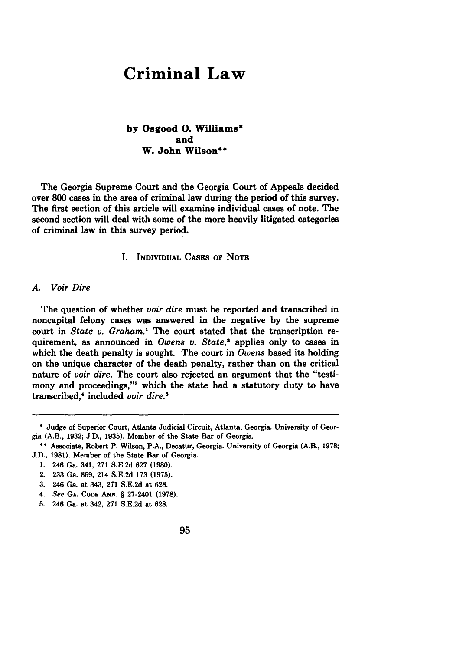# **Criminal Law**

# **by** Osgood **0.** Williams\* and W. John Wilson\*\*

The Georgia Supreme Court and the Georgia Court of Appeals decided over **800** cases in the area of criminal law during the period of this survey. The first section of this article will examine individual cases of note. The second section will deal with some of the more heavily litigated categories of criminal law in this survey period.

# **I.** INDIVIDUAL CASES OF NOTE

## *A. Voir Dire*

The question of whether *voir dire* must be reported and transcribed in noncapital felony cases was answered in the negative **by** the supreme court in *State v. Graham."* The court stated that the transcription requirement, as announced in *Owens v. State,"* applies only to cases in which the death penalty is sought. The court in *Owens* based its holding on the unique character of the death penalty, rather than on the critical nature of *voir dire.* The court also rejected an argument that the "testimony and proceedings," which the state had a statutory duty to have transcribed," included *voir dire.5*

**<sup>\*</sup>** Judge of Superior Court, Atlanta Judicial Circuit, Atlanta, Georgia. University of Georgia (A.B., **1932; J.D., 1935).** Member of the State Bar of Georgia.

**<sup>\*\*</sup> Associate,** Robert P. Wilson, P.A., Decatur, Georgia. University of Georgia (A.B., **1978; J.D., 1981).** Member **of** the State Bar **of** Georgia.

**<sup>1.</sup>** 246 Ga. 341, **271 S.E.2d 627 (1980).**

<sup>2.</sup> **233** Ga. **869,** 214 **S.E.2d 173 (1975).**

**<sup>3.</sup>** 246 Ga. at 343, **271 S.E.2d** at **628.**

<sup>4.</sup> See **GA. CODE ANN.** § 27-2401 **(1978).**

**<sup>5.</sup>** 246 Ga. at 342, **271 S.E.2d** at **628.**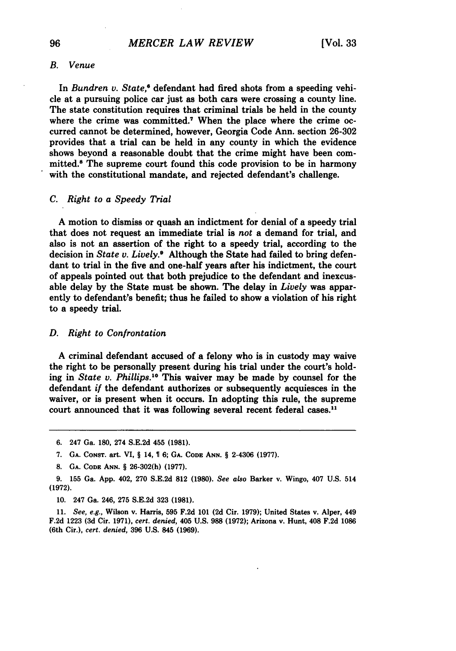#### *B. Venue*

In *Bundren v. State*,<sup>6</sup> defendant had fired shots from a speeding vehicle at a pursuing police car just as both cars were crossing a county line. The state constitution requires that criminal trials be held in the county where the crime was committed.<sup>7</sup> When the place where the crime occurred cannot be determined, however, Georgia Code Ann. section 26-302 provides that a trial can be held in any county in which the evidence shows beyond a reasonable doubt that the crime might have been committed.8 The supreme court found this code provision to be in harmony with the constitutional mandate, and rejected defendant's challenge.

#### *C. Right to a Speedy Trial*

**A** motion to dismiss or quash an indictment for denial of a speedy trial that does not request an immediate trial is *not* a demand for trial, and also is not an assertion of the right to a speedy trial, according to the decision in *State v. Lively.* Although the State had failed to bring defendant to trial in the five and one-half years after his indictment, the court of appeals pointed out that both prejudice to the defendant and inexcusable delay by the State must be shown. The delay in *Lively* was apparently to defendant's benefit; thus he failed to show a violation of his right to a speedy trial.

#### *D. Right to Confrontation*

**A** criminal defendant accused of a felony who is in custody may waive the right to be personally present during his trial under the court's holding in *State v. Phillips.10* This waiver may be made by counsel for the defendant *if* the defendant authorizes or subsequently acquiesces in the waiver, or is present when it occurs. In adopting this rule, the supreme court announced that it was following several recent federal cases.<sup>11</sup>

11. *See, e.g.,* Wilson v. Harris, **595** F.2d 101 **(2d** Cir. 1979); United States v. Alper, 449 F.2d 1223 **(3d** Cir. 1971), *cert. denied,* 405 U.S. **988** (1972); Arizona v. Hunt, 408 F.2d 1086 (6th Cir.), *cert. denied,* 396 U.S. 845 (1969).

<sup>6. 247</sup> Ga. 180, 274 S.E.2d 455 **(1981).**

<sup>7.</sup> **GA.** CONST. art. VI, § 14, 6; **GA. CODE ANN.** § 2-4306 (1977).

<sup>8.</sup> GA. **CODE ANN.** § 26-302(h) (1977).

<sup>9. 155</sup> Ga. App. 402, 270 S.E.2d **812** (1980). *See also* Barker v. Wingo, 407 U.S. 514 (1972).

<sup>10. 247</sup> Ga. 246, 275 S.E.2d 323 **(1981).**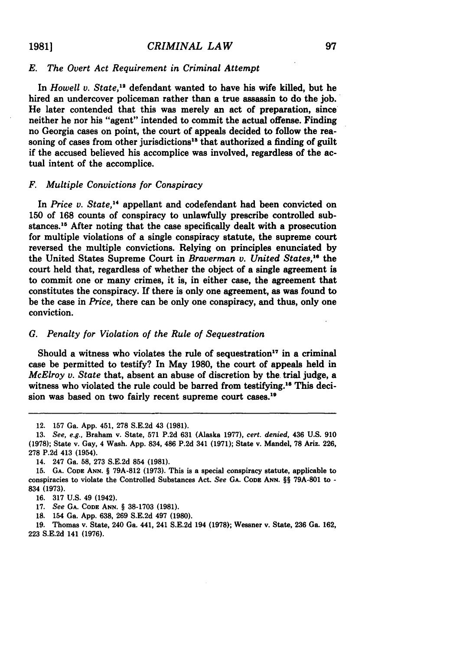## *E. The Overt Act Requirement in Criminal Attempt*

In *Howell v. State,1'* defendant wanted to have his wife killed, but he hired an undercover policeman rather than a true assassin to do the job. He later contended that this was merely an act of preparation, since neither he nor his "agent" intended to commit the actual offense. Finding no Georgia cases on point, the court of appeals decided to follow the reasoning of cases from other jurisdictions<sup>13</sup> that authorized a finding of guilt if the accused believed his accomplice was involved, regardless of the actual intent of the accomplice.

## *F. Multiple Convictions for Conspiracy*

In *Price v. State*,<sup>14</sup> appellant and codefendant had been convicted on 150 of 168 counts of conspiracy to unlawfully prescribe controlled substances.<sup>15</sup> After noting that the case specifically dealt with a prosecution for multiple violations of a single conspiracy statute, the supreme court reversed the multiple convictions. Relying on principles enunciated **by** the United States Supreme Court in *Braverman v. United States,"* the court held that, regardless of whether the object of a single agreement is to commit one or many crimes, it is, in either case, the agreement that constitutes the conspiracy. If there is only one agreement, as was found to be the case in *Price,* there can be only one conspiracy, and thus, only one conviction.

#### *G. Penalty for Violation of the Rule of Sequestration*

Should a witness who violates the rule of sequestration<sup>17</sup> in a criminal case be permitted to testify? In May **1980,** the court of appeals held in *McElroy v. State* that, absent an abuse of discretion **by** the trial judge, a witness who violated the rule could be barred from testifying.<sup>16</sup> This decision was based on two fairly recent supreme court cases.<sup>19</sup>

**18.** 154 Ga. **App. 638, 269 S.E.2d** 497 **(1980).**

**19.** Thomas v. State, 240 Ga. 441, 241 **S.E.2d** 194 **(1978);** Wessner v. State, **236** Ga. **162, 223 S.E.2d** 141 **(1976).**

<sup>12.</sup> **157** Ga. **App.** 451, **278 S.E.2d** 43 **(1981).**

**<sup>13.</sup>** *See, e.g.,* Braham v. State, **571 P.2d 631** (Alaska **1977),** *cert. denied,* 436 **U.S. 910 (1978);** State v. Gay, 4 Wash. **App.** 834, 486 **P.2d** 341 **(1971);** State v. Mandel, **78** Ariz. **226, 278 P.2d** 413 (1954).

<sup>14. 247</sup> Ga. **58, 273 S.E.2d** 854 **(1981).**

**<sup>15.</sup> GA. CODE ANN.** § **79A-812 (1973).** This is a special conspiracy statute, applicable to conspiracies to violate the Controlled Substances Act. *See* **GA. CODE ANN.** §§ **79A-801** to **-** 834 **(1973).**

**<sup>16. 317</sup> U.S.** 49 (1942).

**<sup>17.</sup>** *See* **GA. CODE ANN.** § **38-1703 (1981).**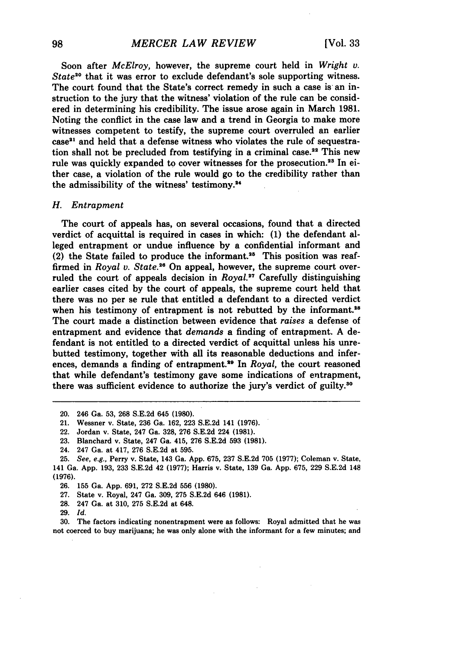Soon after *McElroy,* however, the supreme court held in *Wright v. State*<sup>20</sup> that it was error to exclude defendant's sole supporting witness. The court found that the State's correct remedy in such a case is an instruction to the jury that the witness' violation of the rule can be considered in determining his credibility. The issue arose again in March 1981. Noting the conflict in the case law and a trend in Georgia to make more witnesses competent to testify, the supreme court overruled an earlier  $case<sup>21</sup>$  and held that a defense witness who violates the rule of sequestration shall not be precluded from testifying in a criminal case.<sup>22</sup> This new rule was quickly expanded to cover witnesses for the prosecution.<sup>23</sup> In either case, a violation of the rule would go to the credibility rather than the admissibility of the witness' testimony.<sup>24</sup>

#### *H. Entrapment*

The court of appeals has, on several occasions, found that a directed verdict of acquittal is required in cases in which: **(1)** the defendant alleged entrapment or undue influence by a confidential informant and (2) the State failed to produce the informant.<sup>25</sup> This position was reaffirmed in *Royal v. State.26* On appeal, however, the supreme court overruled the court of appeals decision in *Royal.*<sup>27</sup> Carefully distinguishing earlier cases cited by the court of appeals, the supreme court held that there was no per se rule that entitled a defendant to a directed verdict when his testimony of entrapment is not rebutted by the informant.<sup>28</sup> The court made a distinction between evidence that *raises* a defense of entrapment and evidence that *demands* a finding of entrapment. **A** defendant is not entitled to a directed verdict of acquittal unless his unrebutted testimony, together with all its reasonable deductions and inferences, demands a finding of entrapment.<sup>29</sup> In *Royal*, the court reasoned that while defendant's testimony gave some indications of entrapment, there was sufficient evidence to authorize the jury's verdict of guilty.<sup>30</sup>

- 27. State v. Royal, 247 Ga. 309, 275 S.E.2d 646 **(1981).**
- **28.** 247 Ga. at 310, 275 S.E.2d at 648.
- 29. *Id.*

30. The factors indicating nonentrapment were as follows: Royal admitted that he was not coerced to buy marijuana; he was only alone with the informant for a few minutes; and

<sup>20. 246</sup> Ga. 53, 268 S.E.2d 645 (1980).

<sup>21.</sup> Wessner v. State, 236 Ga. 162, 223 S.E.2d 141 (1976).

<sup>22.</sup> Jordan v. State, 247 Ga. 328, 276 S.E.2d 224 **(1981).**

<sup>23.</sup> Blanchard v. State, 247 Ga. 415, 276 S.E.2d 593 (1981).

<sup>24. 247</sup> Ga. at 417, 276 S.E.2d at 595.

<sup>25.</sup> *See,* e.g., Perry v. State, 143 Ga. App. 675, 237 S.E.2d 705 (1977); Coleman v. State, 141 Ga. App. 193, 233 S.E.2d 42 (1977); Harris v. State, 139 Ga. App. 675, 229 S.E.2d 148 **(1976).**

<sup>26. 155</sup> Ga. App. 691, 272 S.E.2d 556 **(1980).**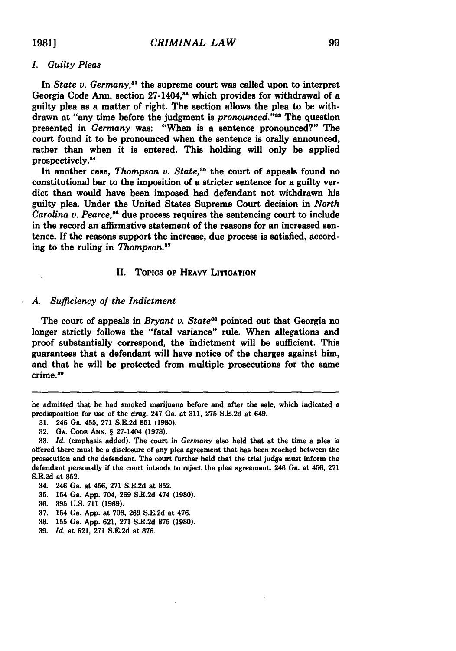l,

# *I. Guilty Pleas*

In *State v. Germany*,<sup>31</sup> the supreme court was called upon to interpret Georgia Code Ann. section 27-1404,<sup>88</sup> which provides for withdrawal of a guilty plea as a matter of right. The section allows the plea to be withdrawn at "any time before the judgment is *pronounced.*"<sup>33</sup> The question presented in *Germany* was: "When is a sentence pronounced?" The court found it to be pronounced when the sentence is orally announced, rather than when it is entered. This holding will only be applied prospectively.<sup>34</sup>

In another case, *Thompson v. State*,<sup>35</sup> the court of appeals found no constitutional bar to the imposition of a stricter sentence for a guilty verdict than would have been imposed had defendant not withdrawn his guilty plea. Under the United States Supreme Court decision in *North Carolina v. Pearce*,<sup>36</sup> due process requires the sentencing court to include in the record an affirmative statement of the reasons for an increased sentence. **If** the reasons support the increase, due process is satisfied, according to the ruling in *Thompson.8 <sup>7</sup>*

# II. Topics **OF HEAVY LITIGATION**

# *A. Sufficiency of the Indictment*

The court of appeals in *Bryant v. State<sup>38</sup>* pointed out that Georgia no longer strictly follows the "fatal variance" rule. When allegations and proof substantially correspond, the indictment will be sufficient. This guarantees that a defendant will have notice of the charges against him, and that he will be protected from multiple prosecutions for the same crime.<sup>39</sup>

- **35.** 154 Ga. **App.** 704, **269 S.E.2d** 474 **(1980).**
- **36. 395 U.S. 711 (1969).**
- **37.** 154 Ga. **App.** at **708, 269 S.E.2d** at 476.
- **38. 155** Ga. **App. 621, 271 S.E.2d 875 (1980).**
- **39.** *Id.* at **621, 271 S.E.2d** at **876.**

he admitted that he had smoked marijuana before and after the sale, which indicated a predisposition for use of the drug. 247 Ga. at **311, 275 S.E.2d** at 649.

**<sup>31.</sup>** 246 Ga. 455, **271 S.E.2d 851 (1980).**

**<sup>32.</sup> GA. CODE ANN. §** 27-1404 **(1978).**

**<sup>33.</sup>** *Id.* (emphasis added). The court in *Germany* also held that at the time a plea is offered there must be a disclosure of any plea agreement that has been reached between the prosecution and the defendant. The court further held that the trial judge must inform the defendant personally if the court intends to reject the plea agreement. 246 Ga. at 456, **271 S.E.2d** at **852.**

<sup>34. 246</sup> Ga. at 456, **271 S.E.2d** at **852.**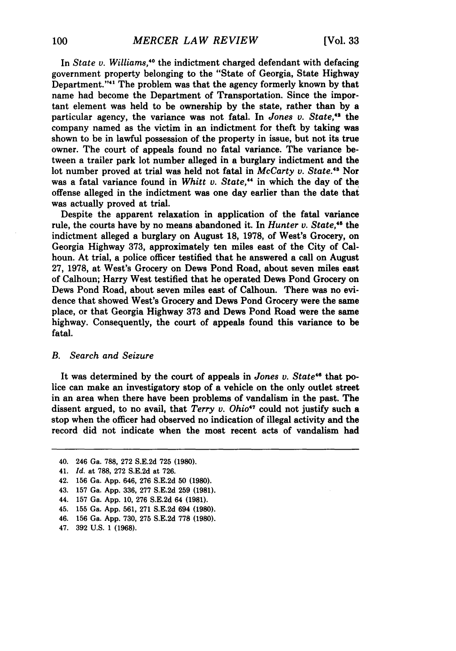In *State v. Williams,-0* the indictment charged defendant with defacing government property belonging to the "State of Georgia, State Highway Department."<sup>41</sup> The problem was that the agency formerly known by that name had become the Department of Transportation. Since the important element was held to be ownership by the state, rather than by a particular agency, the variance was not fatal. In *Jones v. State,42* the company named as the victim in an indictment for theft by taking was shown to be in lawful possession of the property in issue, but not its true owner. The court of appeals found no fatal variance. The variance between a trailer park lot number alleged in a burglary indictment and the lot number proved at trial was held not fatal in *McCarty v. State."3* Nor was a fatal variance found in *Whitt v. State,"* in which the day of the offense alleged in the indictment was one day earlier than the date that was actually proved at trial.

Despite the apparent relaxation in application of the fatal variance rule, the courts have **by** no means abandoned it. In *Hunter v. State,'5* the indictment alleged a burglary on August 18, 1978, of West's Grocery, on Georgia Highway 373, approximately ten miles east of the City of Calhoun. At trial, a police officer testified that he answered a call on August 27, 1978, at West's Grocery on Dews Pond Road, about seven miles east of Calhoun; Harry West testified that he operated Dews Pond Grocery on Dews Pond Road, about seven miles east of Calhoun. There was no evidence that showed West's Grocery and Dews Pond Grocery were the same place, or that Georgia Highway 373 and Dews Pond Road were the same highway. Consequently, the court of appeals found this variance to be fatal.

# *B. Search and Seizure*

It was determined by the court of appeals in *Jones v. State"* that police can make an investigatory stop of a vehicle on the only outlet street in an area when there have been problems of vandalism in the past. The dissent argued, to no avail, that *Terry v. Ohio*<sup>47</sup> could not justify such a stop when the officer had observed no indication of illegal activity and the record did not indicate when the most recent acts of vandalism had

<sup>40. 246</sup> Ga. 788, 272 S.E.2d 725 **(1980).**

<sup>41.</sup> *Id.* at 788, 272 S.E.2d at 726.

<sup>42. 156</sup> Ga. App. 646, 276 S.E.2d 50 (1980).

<sup>43. 157</sup> Ga. App. 336, 277 S.E.2d 259 **(1981).**

<sup>44. 157</sup> Ga. App. 10, 276 S.E.2d 64 **(1981).**

<sup>45. 155</sup> Ga. App. 561, 271 S.E.2d 694 **(1980).**

<sup>46. 156</sup> Ga. App. 730, 275 S.E.2d **778** (1980).

<sup>47. 392</sup> U.S. 1 **(1968).**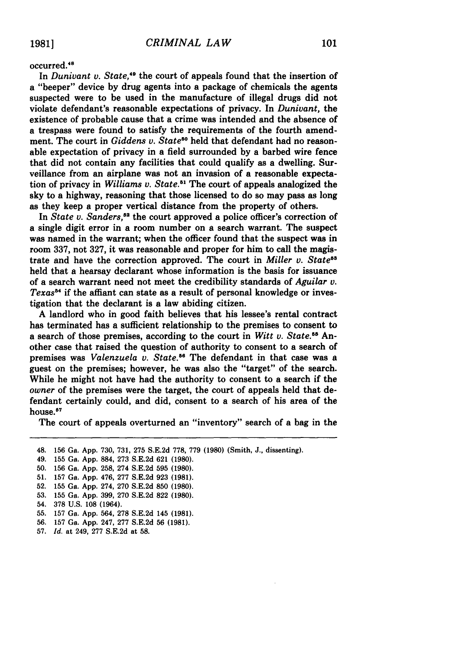**19811**

## occurred.'

In *Dunivant v. State*,<sup>49</sup> the court of appeals found that the insertion of a "beeper" device **by** drug agents into a package of chemicals the agents suspected were to be used in the manufacture of illegal drugs did not violate defendant's reasonable expectations of privacy. In *Dunivant,* the existence of probable cause that a crime was intended and the absence of a trespass were found to satisfy the requirements of the fourth amendment. The court in *Giddens v. State*<sup>50</sup> held that defendant had no reasonable expectation of privacy in a field surrounded **by** a barbed wire fence that did not contain any facilities that could qualify as a dwelling. Surveillance from an airplane was not an invasion of a reasonable expectation of privacy in *Williams v. State*.<sup>51</sup> The court of appeals analogized the sky to a highway, reasoning that those licensed to do so may pass as long as they keep a proper vertical distance from the property of others.

In *State v. Sanders*,<sup>52</sup> the court approved a police officer's correction of a single digit error in a room number on a search warrant. The suspect was named in the warrant; when the officer found that the suspect was in room **337,** not **327,** it was reasonable and proper for him to call the magistrate and have the correction approved. The court in *Miller v. State"* held that a hearsay declarant whose information is the basis for issuance of a search warrant need not meet the credibility standards of *Aguilar v. Texas"* if the affiant can state as a result of personal knowledge or investigation that the declarant is a law abiding citizen.

**A** landlord who in good faith believes that his lessee's rental contract has terminated has a sufficient relationship to the premises to consent to a search of those premises, according to the court in *Witt v. State."5* Another case that raised the question of authority to consent to a search of premises was *Valenzuela v. State."* The defendant in that case was a guest on the premises; however, he was also the "target" of the search. While he might not have had the authority to consent to a search if the *owner* of the premises were the target, the court of appeals held that defendant certainly could, and did, consent to a search of his area of the house. <sup>67</sup>

The court of appeals overturned an "inventory" search of a bag in the

48. **156** Ga. **App. 730, 731, 275 S.E.2d 778, 779 (1980)** (Smith, **J.,** dissenting). 49. **155** Ga. **App. 884, 273 S.E.2d 621 (1980). 50. 156** Ga. **App. 258,** 274 **S.E.2d 595 (1980). 51. 157** Ga. **App.** 476, **277 S.E.2d 923 (1981). 52. 155** Ga. **App.** 274, **270 S.E.2d 850 (1980). 53. 155** Ga. **App. 399, 270 S.E.2d 822 (1980).** 54. **378 U.S. 108** (1964). **55. 157** Ga. **App.** 564, **278 S.E.2d** 145 **(1981). 56. 157** Ga. **App.** 247, **277 S.E.2d 56 (1981). 57.** *Id.* at 249, **277 S.E.2d** at **58.**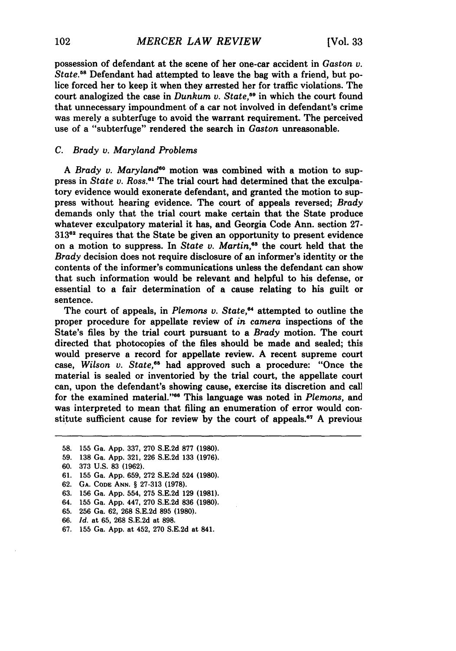possession of defendant at the scene of her one-car accident in *Gaston v. State."* Defendant had attempted to leave the bag with a friend, but police forced her to keep it when they arrested her for traffic violations. The court analogized the case in *Dunkum v. State,"* in which the court found that unnecessary impoundment of a car not involved in defendant's crime was merely a subterfuge to avoid the warrant requirement. The perceived use of a "subterfuge" rendered the search in *Gaston* unreasonable.

## *C. Brady v. Maryland Problems*

A *Brady v. Maryland"* motion was combined with a motion to suppress in *State v. Ross.*<sup>61</sup> The trial court had determined that the exculpatory evidence would exonerate defendant, and granted the motion to suppress without hearing evidence. The court of appeals reversed; *Brady* demands only that the trial court make certain that the State produce whatever exculpatory material it has, and Georgia Code Ann. section 27- **<sup>31362</sup>**requires that the State be given an opportunity to present evidence on a motion to suppress. In *State v. Martin,63* the court held that the *Brady* decision does not require disclosure of an informer's identity or the contents of the informer's communications unless the defendant can show that such information would be relevant and helpful to his defense, or essential to a fair determination of a cause relating to his guilt or sentence.

The court of appeals, in *Plemons v. State,"* attempted to outline the proper procedure for appellate review of *in camera* inspections of the State's files **by** the trial court pursuant to a *Brady* motion. The court directed that photocopies of the files should be made and sealed; this would preserve a record for appellate review. **A** recent supreme court case, *Wilson v. State,"* had approved such a procedure: "Once the material is sealed or inventoried **by** the trial court, the appellate court can, upon the defendant's showing cause, exercise its discretion and call for the examined material."<sup>66</sup> This language was noted in *Plemons*, and was interpreted to mean that filing an enumeration of error would constitute sufficient cause for review **by** the court of appeals. <sup>7</sup>**A** previou

- **58. 155** Ga. **App. 337, 270 S.E.2d 877 (1980).**
- **59. 138** Ga. **App. 321, 226 S.E.2d 133 (1976).**
- **60. 373 U.S. 83 (1962).**
- **61. 155** Ga. **App. 659, 272 S.E.2d** 524 **(1980).**
- **62. GA. CODE ANN.** § **27-313 (1978).**
- **63.** 156 Ga. **App.** 554, **275 S.E.2d 129 (1981).**
- 64. **155** Ga. **App.** 447, **270 S.E.2d 836 (1980).**
- **65. 256** Ga. **62, 268 S.E.2d 895 (1980).**
- **66.** *Id.* at **65, 268 S.E.2d** at **898.**
- **67.** 155 Ga. **App.** at 452, **270 S.E.2d** at 841.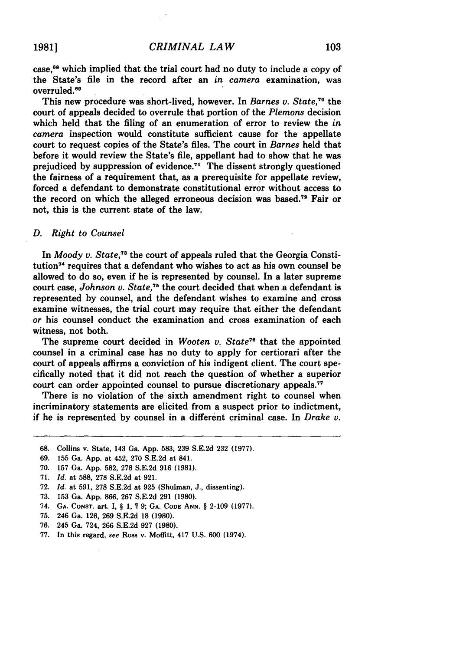case, 68 which implied that the trial court had no duty to include a copy of the State's file in the record after an *in camera* examination, was overruled.<sup>69</sup>

This new procedure was short-lived, however. In *Barnes v. State*,<sup>70</sup> the court of appeals decided to overrule that portion of the *Plemons* decision which held that the filing of an enumeration of error to review the *in camera* inspection would constitute sufficient cause for the appellate court to request copies of the State's files. The court in *Barnes* held that before it would review the State's file, appellant had to show that he was prejudiced by suppression of evidence.<sup>71</sup> The dissent strongly questioned the fairness of a requirement that, as a prerequisite for appellate review, forced a defendant to demonstrate constitutional error without access to the record on which the alleged erroneous decision was based.<sup>72</sup> Fair or not, this is the current state of the law.

#### *D. Right to Counsel*

In *Moody v. State*,<sup>78</sup> the court of appeals ruled that the Georgia Constitution<sup>74</sup> requires that a defendant who wishes to act as his own counsel be allowed to do so, even if he is represented by counsel. In a later supreme court case, *Johnson v. State*,<sup>76</sup> the court decided that when a defendant is represented by counsel, and the defendant wishes to examine and cross examine witnesses, the trial court may require that either the defendant *or* his counsel conduct the examination and cross examination of each witness, not both.

The supreme court decided in *Wooten v. State*<sup>76</sup> that the appointed counsel in a criminal case has no duty to apply for certiorari after the court of appeals affirms a conviction of his indigent client. The court specifically noted that it did not reach the question of whether a superior court can order appointed counsel to pursue discretionary appeals.<sup>77</sup>

There is no violation of the sixth amendment right to counsel when incriminatory statements are elicited from a suspect prior to indictment, if he is represented **by** counsel in a different criminal case. In *Drake v.*

- **68.** Collins v. State, 143 Ga. **App. 583, 239 S.E.2d 232 (1977).**
- **69. 155** Ga. **App.** at 452, **270 S.E.2d** at 841.
- **70. 157** Ga. **App. 582, 278 S.E.2d 916 (1981).**
- **71.** *Id.* at **588, 278 S.E.2d** at **921.**
- **72.** *Id.* at **591, 278 S.E.2d** at **925** (Shulman, **J.,** dissenting).
- **73. 153** Ga. **App. 866, 267 S.E.2d 291 (1980).**
- 74. **GA. CONsT. art. I, § 1, 9; GA. CODE ANN.** § **2-109 (1977).**
- **75.** 246 Ga. **126, 269 S.E.2d 18 (1980).**
- **76.** 245 Ga. 724, **266 S.E.2d 927 (1980).**
- **77.** In this regard, see Ross v. Moffitt, 417 **U.S. 600** (1974).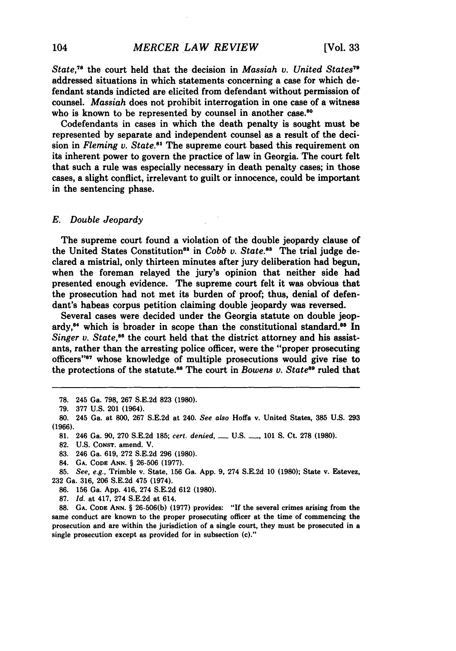*State*,<sup>78</sup> the court held that the decision in *Massiah v. United States*<sup>79</sup> addressed situations in which statements concerning a case for which defendant stands indicted are elicited from defendant without permission of counsel. *Massiah* does not prohibit interrogation in one case of a witness who is known to be represented by counsel in another case.<sup>80</sup>

Codefendants in cases in which the death penalty is sought must be represented by separate and independent counsel as a result of the decision in *Fleming v. State.81* The supreme court based this requirement on its inherent power to govern the practice of law in Georgia. The court felt that such a rule was especially necessary in death penalty cases; in those cases, a slight conflict, irrelevant to guilt or innocence, could be important in the sentencing phase.

## **E.** *Double Jeopardy*

The supreme court found a violation of the double jeopardy clause of the United States Constitution<sup>83</sup> in *Cobb v. State.*<sup>83</sup> The trial judge declared a mistrial, only thirteen minutes after jury deliberation had begun, when the foreman relayed the jury's opinion that neither side had presented enough evidence. The supreme court felt it was obvious that the prosecution had not met its burden of proof; thus, denial of defendant's habeas corpus petition claiming double jeopardy was reversed.

Several cases were decided under the Georgia statute on double jeopardy,<sup>84</sup> which is broader in scope than the constitutional standard.<sup>85</sup> In *Singer v. State*,<sup>86</sup> the court held that the district attorney and his assistants, rather than the arresting police officer, were the "proper prosecuting officers"'87 whose knowledge of multiple prosecutions would give rise to the protections of the statute.<sup>88</sup> The court in *Bowens v. State*<sup>89</sup> ruled that

**87.** *Id.* at 417, 274 **S.E.2d** at 614.

**88. GA. CODE ANN.** § **26-506(b) (1977)** provides: **"If** the several crimes arising from the same conduct are known to the proper prosecuting officer at the time of commencing the prosecution and are within the jurisdiction of a single court, they must be prosecuted in a single prosecution except as provided for in subsection (c)."

**<sup>78.</sup>** 245 Ga. **798, 267 S.E.2d 823 (1980).**

**<sup>79.</sup> 377 U.S.** 201 (1964).

**<sup>80.</sup>** 245 Ga. at **800, 267 S.E.2d** at 240. *See also* **Hoffa** v. United States, **385 U.S. 293 (1966).**

**<sup>81.</sup>** 246 Ga. **90, 270 S.E.2d 185;** *cert. denied,* **- U.S. -, 101 S.** Ct. **278 (1980).**

**<sup>82.</sup> U.S. CONST.** amend. V.

**<sup>83.</sup>** 246 Ga. **619, 272 S.E.2d 296 (1980).**

<sup>84.</sup> **GA. CODE ANN.** § **26-506 (1977).**

**<sup>85.</sup>** *See, e.g.,* Trimble v. State, **156** Ga. **App. 9,** 274 **S.E.2d 10 (1980);** State v. Estevez, **232** Ga. **316, 206 S.E.2d** 475 (1974).

**<sup>86. 156</sup>** Ga. **App.** 416, 274 **S.E.2d 612 (1980).**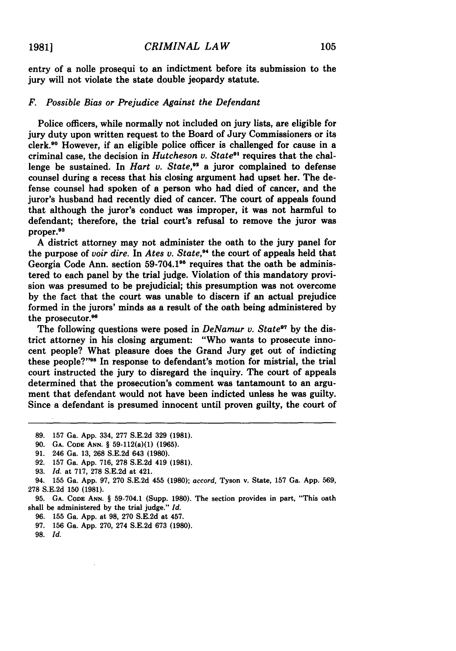entry of a nolle prosequi to an indictment before its submission to the jury will not violate the state double jeopardy statute.

# *F. Possible Bias or Prejudice Against the Defendant*

Police officers, while normally not included on jury lists, are eligible for jury duty upon written request to the Board of Jury Commissioners or its clerk.90 However, if an eligible police officer is challenged for cause in a criminal case, the decision in *Hutcheson v. States'* requires that the challenge be sustained. In *Hart v. State*,<sup>92</sup> a juror complained to defense counsel during a recess that his closing argument had upset her. The defense counsel had spoken of a person who had died of cancer, and the juror's husband had recently died of cancer. The court of appeals found that although the juror's conduct was improper, it was not harmful to defendant; therefore, the trial court's refusal to remove the juror was proper.93

**A** district attorney may not administer the oath to the jury panel for the purpose of *voir dire.* In *Ates v. State*,<sup>24</sup> the court of appeals held that Georgia Code Ann. section **59-704.195** requires that the oath be administered to each panel **by** the trial judge. Violation of this mandatory provision was presumed to be prejudicial; this presumption was not overcome **by** the fact that the court was unable to discern if an actual prejudice formed in the jurors' minds as a result of the oath being administered **by** the prosecutor.<sup>96</sup>

The following questions were posed in *DeNamur v. State*<sup>97</sup> by the district attorney in his closing argument: "Who wants to prosecute innocent people? What pleasure does the Grand Jury get out of indicting these people?"<sup>98</sup> In response to defendant's motion for mistrial, the trial court instructed the jury to disregard the inquiry. The court of appeals determined that the prosecution's comment was tantamount to an argument that defendant would not have been indicted unless he was guilty. Since a defendant is presumed innocent until proven guilty, the court of

**98.** Id.

**<sup>89.</sup> 157** Ga. **App.** 334, **277 S.E.2d 329 (1981).**

**<sup>90.</sup> GA. CODE ANN.** § 59-112(a)(1) **(1965).**

**<sup>91.</sup>** 246 Ga. **13, 268 S.E.2d** 643 **(1980).**

**<sup>92.</sup> 157** Ga. **App. 716, 278 S.E.2d** 419 **(1981).**

**<sup>93.</sup>** *Id.* at **717, 278 S.E.2d** at 421.

<sup>94.</sup> **155** Ga. **App. 97, 270 S.E.2d** 455 **(1980);** *accord,* Tyson v. State, **157** Ga. **App. 569, 278 S.E.2d 150 (1981).**

**<sup>95.</sup> GA. CODE ANN.** § **59-704.1** (Supp. **1980).** The section provides in part, "This oath shall be administered **by** the trial judge." *Id.*

**<sup>96.</sup> 155** Ga. **App.** at **98, 270 S.E.2d** at 457.

**<sup>97.</sup> 156** Ga. **App. 270,** 274 **S.E.2d 673 (1980).**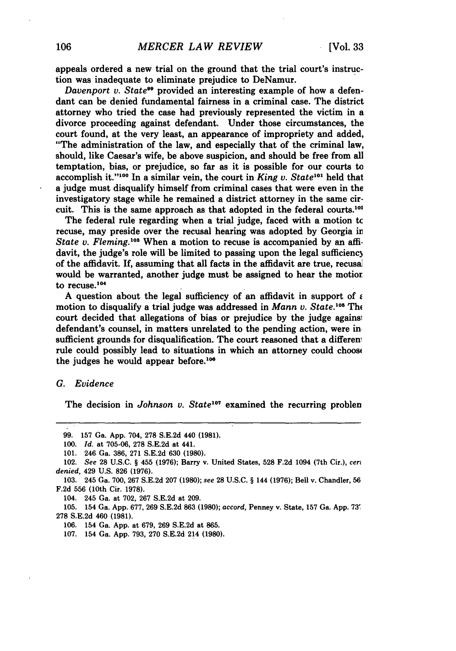appeals ordered a new trial on the ground that the trial court's instruction was inadequate to eliminate prejudice to DeNamur.

*Davenport v. State*<sup>99</sup> provided an interesting example of how a defendant can be denied fundamental fairness in a criminal case. The district attorney who tried the case had previously represented the victim in a divorce proceeding against defendant. Under those circumstances, the court found, at the very least, an appearance of impropriety and added, "The administration of the law, and especially that of the criminal law, should, like Caesar's wife, be above suspicion, and should be free from all temptation, bias, or prejudice, so far as it is possible for our courts to accomplish it."<sup>100</sup> In a similar vein, the court in *King v. State*<sup>101</sup> held that a judge must disqualify himself from criminal cases that were even in the investigatory stage while he remained a district attorney in the same circuit. This is the same approach as that adopted in the federal courts.<sup>101</sup>

The federal rule regarding when a trial judge, faced with a motion **tc** recuse, may preside over the recusal hearing was adopted **by** Georgia ii *State v. Fleming.*<sup>108</sup> When a motion to recuse is accompanied by an affidavit, the judge's role will be limited to passing upon the legal sufficiency of the affidavit. If, assuming that all facts in the affidavit are true, recusai would be warranted, another judge must be assigned to hear the motior to recuse. $104$ 

A question about the legal sufficiency of an affidavit in support of  $\epsilon$ motion to disqualify a trial judge was addressed in *Mann v. State.*<sup>105</sup> The court decided that allegations of bias or prejudice **by** the judge agains defendant's counsel, in matters unrelated to the pending action, were in sufficient grounds for disqualification. The court reasoned that a different rule could possibly lead to situations in which an attorney could choosi the judges he would appear before. $106$ 

#### *G. Evidence*

The decision in *Johnson v. State<sup>107</sup>* examined the recurring problen

**106.** 154 Ga. **App.** at **679, 269 S.E.2d** at **865.**

**107.** 154 Ga. **App. 793, 270 S.E.2d** 214 **(1980).**

**<sup>99. 157</sup>** Ga. **App.** 704, **278 S.E.2d** 440 **(1981).**

**<sup>100.</sup>** *Id.* at **705-06, 278 S.E.2d** at 441.

**<sup>101.</sup>** 246 Ga. **386, 271 S.E.2d 630 (1980).**

<sup>102.</sup> *See* **28 U.S.C.** § 455 **(1976);** Barry v. United States, **528 F.2d** 1094 (7th Cir.), *cerl denied,* 429 **U.S. 826 (1976).**

**<sup>103.</sup>** 245 Ga. **700, 267 S.E.2d 207 (1980);** *see* **28 U.S.C.** § 144 **(1976);** Bell v. Chandler, **56 F.2d 556** (10th Cir. **1978).**

<sup>104. 245</sup> Ga. at **702, 267 S.E.2d** at **209.**

**<sup>105.</sup>** 154 Ga. **App. 677, 269 S.E.2d 863 (1980);** *accord,* Penney v. State, **157** Ga. **App. 73' 278 S.E.2d** 460 **(1981).**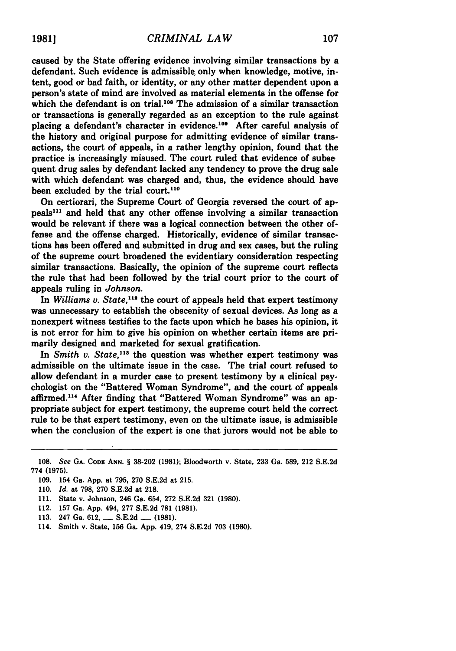caused **by** the State offering evidence involving similar transactions **by** a defendant. Such evidence is admissible only when knowledge, motive, intent, good or bad faith, or identity, or any other matter dependent upon a person's state of mind are involved as material elements in the offense for which the defendant is on trial.<sup>108</sup> The admission of a similar transaction or transactions is generally regarded as an exception to the rule against placing a defendant's character in evidence.<sup>109</sup> After careful analysis of the history and original purpose for admitting evidence of similar transactions, the court of appeals, in a rather lengthy opinion, found that the practice is increasingly misused. The court ruled that evidence of subse quent drug sales **by** defendant lacked any tendency to prove the drug sale with which defendant was charged and, thus, the evidence should have been excluded by the trial court.<sup>110</sup>

On certiorari, the Supreme Court of Georgia reversed the court of appeals"" and held that any other offense involving a similar transaction would be relevant if there was a logical connection between the other offense and the offense charged. Historically, evidence of similar transactions has been offered and submitted in drug and sex cases, but the ruling of the supreme court broadened the evidentiary consideration respecting similar transactions. Basically, the opinion of the supreme court reflects the rule that had been followed **by** the trial court prior to the court of appeals ruling in *Johnson.*

In *Williams v. State*,<sup>112</sup> the court of appeals held that expert testimony was unnecessary to establish the obscenity of sexual devices. As long as a nonexpert witness testifies to the facts upon which he bases his opinion, it is not error for him to give his opinion on whether certain items are primarily designed and marketed for sexual gratification.

In *Smith v. State*,<sup>118</sup> the question was whether expert testimony was admissible on the ultimate issue in the case. The trial court refused to allow defendant in a murder case to present testimony **by** a clinical psychologist on the "Battered Woman Syndrome", and the court of appeals affirmed.<sup>114</sup> After finding that "Battered Woman Syndrome" was an appropriate subject for expert testimony, the supreme court held the correct rule to be that expert testimony, even on the ultimate issue, is admissible when the conclusion of the expert is one that jurors would not be able to

**110.** *Id.* at **798, 270 S.E.2d** at **218.**

- 112. **157** Ga. **App.** 494, **277 S.E.2d 781 (1981).**
- **113.** 247 Ga. **612, - S.E.2d - (1981).**
- 114. Smith v. State, **156** Ga. **App.** 419, 274 **S.E.2d 703 (1980).**

**<sup>108.</sup>** *See* **GA. CODE ANN.** § **38-202 (1981);** Bloodworth v. State, **233** Ga. **589,** 212 **S.E.2d 774 (1975).**

**<sup>109.</sup>** 154 Ga. **App.** at **795, 270 S.E.2d** at **215.**

**<sup>111.</sup>** State v. Johnson, 246 Ga. 654, **272 S.E.2d 321 (1980).**